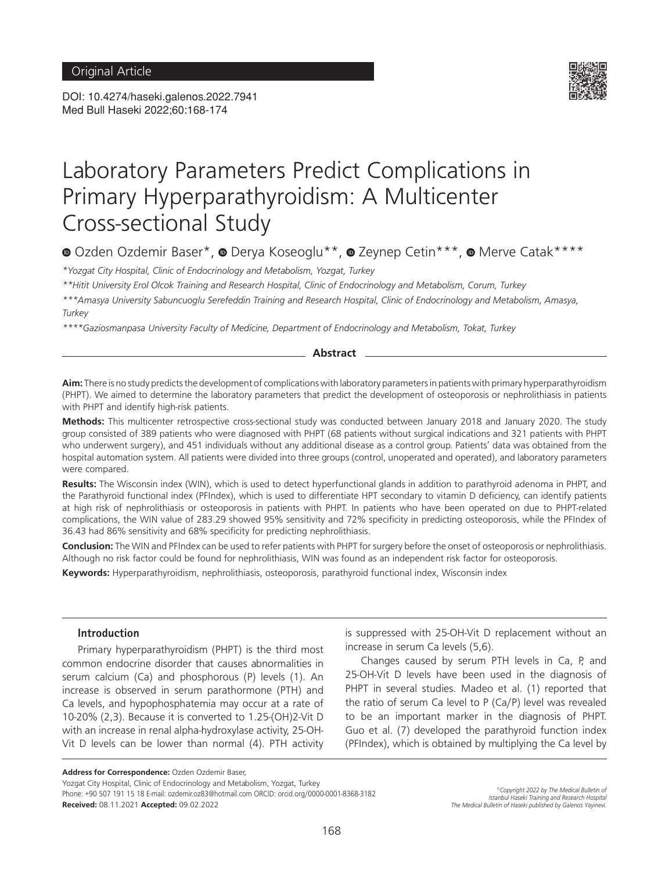DOI: 10.4274/haseki.galenos.2022.7941 Med Bull Haseki 2022;60:168-174



# Laboratory Parameters Predict Complications in Primary Hyperparathyroidism: A Multicenter Cross-sectional Study

<sup>■</sup>Ozden Ozdemir Baser\*, ■ Derya Koseoglu\*\*, ■ Zeynep Cetin\*\*\*, ■ Merve Catak\*\*\*\*

*\*Yozgat City Hospital, Clinic of Endocrinology and Metabolism, Yozgat, Turkey*

*\*\*Hitit University Erol Olcok Training and Research Hospital, Clinic of Endocrinology and Metabolism, Corum, Turkey*

*\*\*\*Amasya University Sabuncuoglu Serefeddin Training and Research Hospital, Clinic of Endocrinology and Metabolism, Amasya, Turkey*

*\*\*\*\*Gaziosmanpasa University Faculty of Medicine, Department of Endocrinology and Metabolism, Tokat, Turkey*

# **Abstract**

**Aim:** There is no study predicts the development of complications with laboratory parameters in patients with primary hyperparathyroidism (PHPT). We aimed to determine the laboratory parameters that predict the development of osteoporosis or nephrolithiasis in patients with PHPT and identify high-risk patients.

**Methods:** This multicenter retrospective cross-sectional study was conducted between January 2018 and January 2020. The study group consisted of 389 patients who were diagnosed with PHPT (68 patients without surgical indications and 321 patients with PHPT who underwent surgery), and 451 individuals without any additional disease as a control group. Patients' data was obtained from the hospital automation system. All patients were divided into three groups (control, unoperated and operated), and laboratory parameters were compared.

**Results:** The Wisconsin index (WIN), which is used to detect hyperfunctional glands in addition to parathyroid adenoma in PHPT, and the Parathyroid functional index (PFIndex), which is used to differentiate HPT secondary to vitamin D deficiency, can identify patients at high risk of nephrolithiasis or osteoporosis in patients with PHPT. In patients who have been operated on due to PHPT-related complications, the WIN value of 283.29 showed 95% sensitivity and 72% specificity in predicting osteoporosis, while the PFIndex of 36.43 had 86% sensitivity and 68% specificity for predicting nephrolithiasis.

**Conclusion:** The WIN and PFIndex can be used to refer patients with PHPT for surgery before the onset of osteoporosis or nephrolithiasis. Although no risk factor could be found for nephrolithiasis, WIN was found as an independent risk factor for osteoporosis.

**Keywords:** Hyperparathyroidism, nephrolithiasis, osteoporosis, parathyroid functional index, Wisconsin index

# **Introduction**

Primary hyperparathyroidism (PHPT) is the third most common endocrine disorder that causes abnormalities in serum calcium (Ca) and phosphorous (P) levels (1). An increase is observed in serum parathormone (PTH) and Ca levels, and hypophosphatemia may occur at a rate of 10-20% (2,3). Because it is converted to 1.25-(OH)2-Vit D with an increase in renal alpha-hydroxylase activity, 25-OH-Vit D levels can be lower than normal (4). PTH activity

**Address for Correspondence:** Ozden Ozdemir Baser,

Yozgat City Hospital, Clinic of Endocrinology and Metabolism, Yozgat, Turkey Phone: +90 507 191 15 18 E-mail: ozdemir.oz83@hotmail.com ORCID: orcid.org/0000-0001-8368-3182 **Received:** 08.11.2021 **Accepted:** 09.02.2022

is suppressed with 25-OH-Vit D replacement without an increase in serum Ca levels (5,6).

Changes caused by serum PTH levels in Ca, P, and 25-OH-Vit D levels have been used in the diagnosis of PHPT in several studies. Madeo et al. (1) reported that the ratio of serum Ca level to P (Ca/P) level was revealed to be an important marker in the diagnosis of PHPT. Guo et al. (7) developed the parathyroid function index (PFIndex), which is obtained by multiplying the Ca level by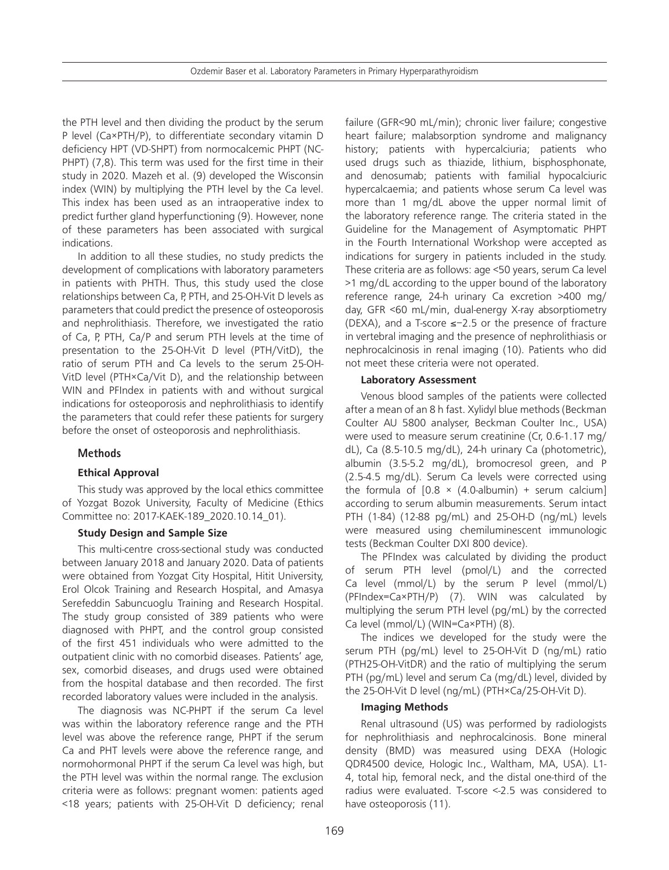the PTH level and then dividing the product by the serum P level (Ca×PTH/P), to differentiate secondary vitamin D deficiency HPT (VD-SHPT) from normocalcemic PHPT (NC-PHPT) (7,8). This term was used for the first time in their study in 2020. Mazeh et al. (9) developed the Wisconsin index (WIN) by multiplying the PTH level by the Ca level. This index has been used as an intraoperative index to predict further gland hyperfunctioning (9). However, none of these parameters has been associated with surgical indications.

In addition to all these studies, no study predicts the development of complications with laboratory parameters in patients with PHTH. Thus, this study used the close relationships between Ca, P, PTH, and 25-OH-Vit D levels as parameters that could predict the presence of osteoporosis and nephrolithiasis. Therefore, we investigated the ratio of Ca, P, PTH, Ca/P and serum PTH levels at the time of presentation to the 25-OH-Vit D level (PTH/VitD), the ratio of serum PTH and Ca levels to the serum 25-OH-VitD level (PTH×Ca/Vit D), and the relationship between WIN and PFIndex in patients with and without surgical indications for osteoporosis and nephrolithiasis to identify the parameters that could refer these patients for surgery before the onset of osteoporosis and nephrolithiasis.

# **Methods**

# **Ethical Approval**

This study was approved by the local ethics committee of Yozgat Bozok University, Faculty of Medicine (Ethics Committee no: 2017-KAEK-189\_2020.10.14\_01).

#### **Study Design and Sample Size**

This multi-centre cross-sectional study was conducted between January 2018 and January 2020. Data of patients were obtained from Yozgat City Hospital, Hitit University, Erol Olcok Training and Research Hospital, and Amasya Serefeddin Sabuncuoglu Training and Research Hospital. The study group consisted of 389 patients who were diagnosed with PHPT, and the control group consisted of the first 451 individuals who were admitted to the outpatient clinic with no comorbid diseases. Patients' age, sex, comorbid diseases, and drugs used were obtained from the hospital database and then recorded. The first recorded laboratory values were included in the analysis.

The diagnosis was NC-PHPT if the serum Ca level was within the laboratory reference range and the PTH level was above the reference range, PHPT if the serum Ca and PHT levels were above the reference range, and normohormonal PHPT if the serum Ca level was high, but the PTH level was within the normal range. The exclusion criteria were as follows: pregnant women: patients aged <18 years; patients with 25-OH-Vit D deficiency; renal

failure (GFR<90 mL/min); chronic liver failure; congestive heart failure; malabsorption syndrome and malignancy history; patients with hypercalciuria; patients who used drugs such as thiazide, lithium, bisphosphonate, and denosumab; patients with familial hypocalciuric hypercalcaemia; and patients whose serum Ca level was more than 1 mg/dL above the upper normal limit of the laboratory reference range. The criteria stated in the Guideline for the Management of Asymptomatic PHPT in the Fourth International Workshop were accepted as indications for surgery in patients included in the study. These criteria are as follows: age <50 years, serum Ca level >1 mg/dL according to the upper bound of the laboratory reference range, 24-h urinary Ca excretion >400 mg/ day, GFR <60 mL/min, dual-energy X-ray absorptiometry (DEXA), and a T-score ≤−2.5 or the presence of fracture in vertebral imaging and the presence of nephrolithiasis or nephrocalcinosis in renal imaging (10). Patients who did not meet these criteria were not operated.

#### **Laboratory Assessment**

Venous blood samples of the patients were collected after a mean of an 8 h fast. Xylidyl blue methods (Beckman Coulter AU 5800 analyser, Beckman Coulter Inc., USA) were used to measure serum creatinine (Cr, 0.6-1.17 mg/ dL), Ca (8.5-10.5 mg/dL), 24-h urinary Ca (photometric), albumin (3.5-5.2 mg/dL), bromocresol green, and P (2.5-4.5 mg/dL). Serum Ca levels were corrected using the formula of  $[0.8 \times (4.0 \text{-} \text{album} \cdot \text{arc} \cdot \text{arc} \cdot \text{arc} \cdot \text{arc} \cdot \text{arc} \cdot \text{arc} \cdot \text{arc} \cdot \text{arc} \cdot \text{arc} \cdot \text{arc} \cdot \text{arc} \cdot \text{arc} \cdot \text{arc} \cdot \text{arc} \cdot \text{arc} \cdot \text{arc} \cdot \text{arc} \cdot \text{arc} \cdot \text{arc} \cdot \text{arc} \cdot \text{arc} \cdot \text{arc} \cdot \text{arc} \cdot \text{arc} \cdot \text{arc} \cdot \text{arc} \cdot \text$ according to serum albumin measurements. Serum intact PTH (1-84) (12-88 pg/mL) and 25-OH-D (ng/mL) levels were measured using chemiluminescent immunologic tests (Beckman Coulter DXI 800 device).

The PFIndex was calculated by dividing the product of serum PTH level (pmol/L) and the corrected Ca level (mmol/L) by the serum P level (mmol/L) (PFIndex=Ca×PTH/P) (7). WIN was calculated by multiplying the serum PTH level (pg/mL) by the corrected Ca level (mmol/L) (WIN=Ca×PTH) (8).

The indices we developed for the study were the serum PTH (pg/mL) level to 25-OH-Vit D (ng/mL) ratio (PTH25-OH-VitDR) and the ratio of multiplying the serum PTH (pg/mL) level and serum Ca (mg/dL) level, divided by the 25-OH-Vit D level (ng/mL) (PTH×Ca/25-OH-Vit D).

#### **Imaging Methods**

Renal ultrasound (US) was performed by radiologists for nephrolithiasis and nephrocalcinosis. Bone mineral density (BMD) was measured using DEXA (Hologic QDR4500 device, Hologic Inc., Waltham, MA, USA). L1- 4, total hip, femoral neck, and the distal one-third of the radius were evaluated. T-score <-2.5 was considered to have osteoporosis (11).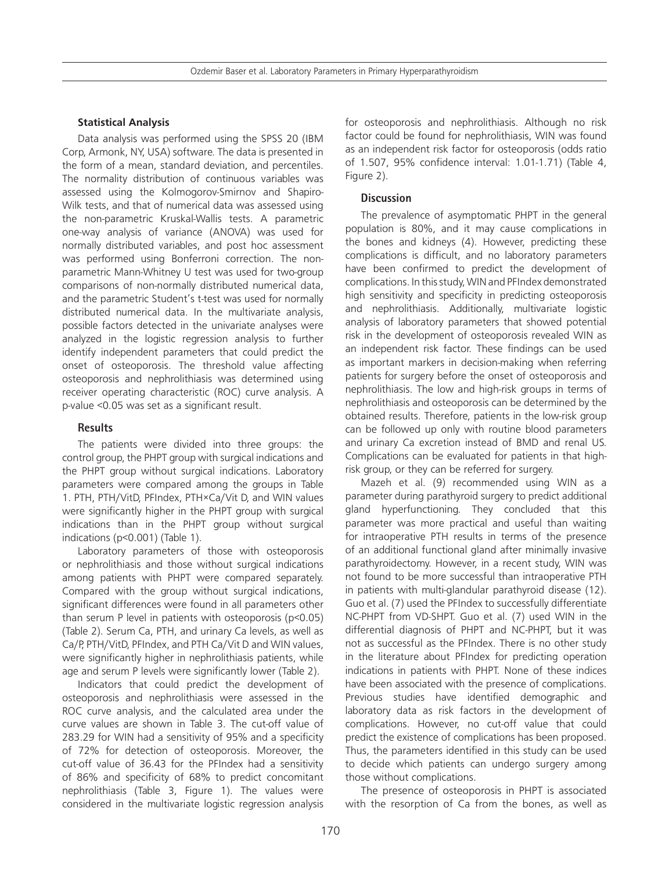# **Statistical Analysis**

Data analysis was performed using the SPSS 20 (IBM Corp, Armonk, NY, USA) software. The data is presented in the form of a mean, standard deviation, and percentiles. The normality distribution of continuous variables was assessed using the Kolmogorov-Smirnov and Shapiro-Wilk tests, and that of numerical data was assessed using the non-parametric Kruskal-Wallis tests. A parametric one-way analysis of variance (ANOVA) was used for normally distributed variables, and post hoc assessment was performed using Bonferroni correction. The nonparametric Mann-Whitney U test was used for two-group comparisons of non-normally distributed numerical data, and the parametric Student's t-test was used for normally distributed numerical data. In the multivariate analysis, possible factors detected in the univariate analyses were analyzed in the logistic regression analysis to further identify independent parameters that could predict the onset of osteoporosis. The threshold value affecting osteoporosis and nephrolithiasis was determined using receiver operating characteristic (ROC) curve analysis. A p-value <0.05 was set as a significant result.

# **Results**

The patients were divided into three groups: the control group, the PHPT group with surgical indications and the PHPT group without surgical indications. Laboratory parameters were compared among the groups in Table 1. PTH, PTH/VitD, PFIndex, PTH×Ca/Vit D, and WIN values were significantly higher in the PHPT group with surgical indications than in the PHPT group without surgical indications (p<0.001) (Table 1).

Laboratory parameters of those with osteoporosis or nephrolithiasis and those without surgical indications among patients with PHPT were compared separately. Compared with the group without surgical indications, significant differences were found in all parameters other than serum P level in patients with osteoporosis (p<0.05) (Table 2). Serum Ca, PTH, and urinary Ca levels, as well as Ca/P, PTH/VitD, PFIndex, and PTH Ca/Vit D and WIN values, were significantly higher in nephrolithiasis patients, while age and serum P levels were significantly lower (Table 2).

Indicators that could predict the development of osteoporosis and nephrolithiasis were assessed in the ROC curve analysis, and the calculated area under the curve values are shown in Table 3. The cut-off value of 283.29 for WIN had a sensitivity of 95% and a specificity of 72% for detection of osteoporosis. Moreover, the cut-off value of 36.43 for the PFIndex had a sensitivity of 86% and specificity of 68% to predict concomitant nephrolithiasis (Table 3, Figure 1). The values were considered in the multivariate logistic regression analysis for osteoporosis and nephrolithiasis. Although no risk factor could be found for nephrolithiasis, WIN was found as an independent risk factor for osteoporosis (odds ratio of 1.507, 95% confidence interval: 1.01-1.71) (Table 4, Figure 2).

# **Discussion**

The prevalence of asymptomatic PHPT in the general population is 80%, and it may cause complications in the bones and kidneys (4). However, predicting these complications is difficult, and no laboratory parameters have been confirmed to predict the development of complications. In this study, WIN and PFIndex demonstrated high sensitivity and specificity in predicting osteoporosis and nephrolithiasis. Additionally, multivariate logistic analysis of laboratory parameters that showed potential risk in the development of osteoporosis revealed WIN as an independent risk factor. These findings can be used as important markers in decision-making when referring patients for surgery before the onset of osteoporosis and nephrolithiasis. The low and high-risk groups in terms of nephrolithiasis and osteoporosis can be determined by the obtained results. Therefore, patients in the low-risk group can be followed up only with routine blood parameters and urinary Ca excretion instead of BMD and renal US. Complications can be evaluated for patients in that highrisk group, or they can be referred for surgery.

Mazeh et al. (9) recommended using WIN as a parameter during parathyroid surgery to predict additional gland hyperfunctioning. They concluded that this parameter was more practical and useful than waiting for intraoperative PTH results in terms of the presence of an additional functional gland after minimally invasive parathyroidectomy. However, in a recent study, WIN was not found to be more successful than intraoperative PTH in patients with multi-glandular parathyroid disease (12). Guo et al. (7) used the PFIndex to successfully differentiate NC-PHPT from VD-SHPT. Guo et al. (7) used WIN in the differential diagnosis of PHPT and NC-PHPT, but it was not as successful as the PFIndex. There is no other study in the literature about PFIndex for predicting operation indications in patients with PHPT. None of these indices have been associated with the presence of complications. Previous studies have identified demographic and laboratory data as risk factors in the development of complications. However, no cut-off value that could predict the existence of complications has been proposed. Thus, the parameters identified in this study can be used to decide which patients can undergo surgery among those without complications.

The presence of osteoporosis in PHPT is associated with the resorption of Ca from the bones, as well as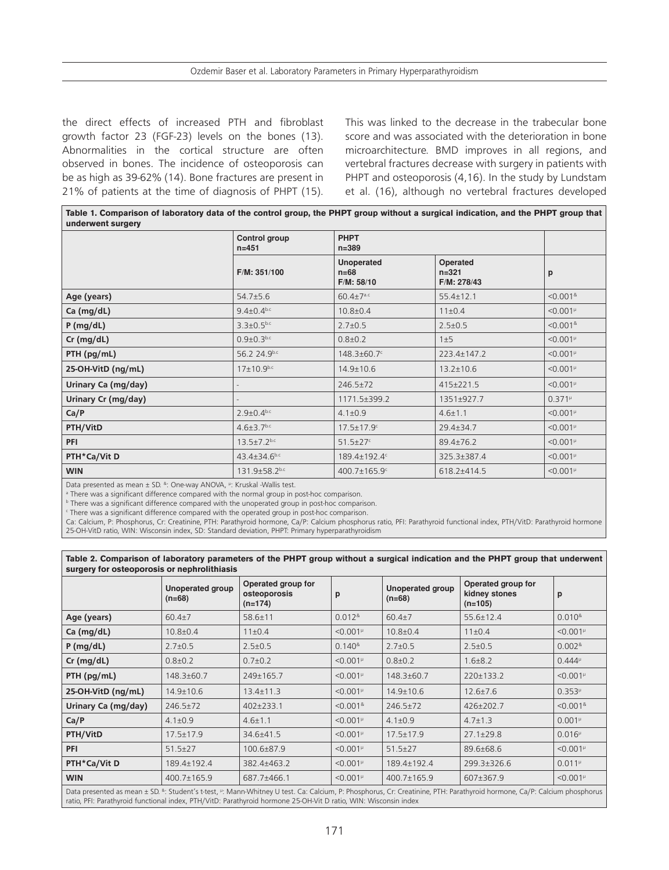the direct effects of increased PTH and fibroblast growth factor 23 (FGF-23) levels on the bones (13). Abnormalities in the cortical structure are often observed in bones. The incidence of osteoporosis can be as high as 39-62% (14). Bone fractures are present in 21% of patients at the time of diagnosis of PHPT (15).

This was linked to the decrease in the trabecular bone score and was associated with the deterioration in bone microarchitecture. BMD improves in all regions, and vertebral fractures decrease with surgery in patients with PHPT and osteoporosis (4,16). In the study by Lundstam et al. (16), although no vertebral fractures developed

**Table 1. Comparison of laboratory data of the control group, the PHPT group without a surgical indication, and the PHPT group that underwent surgery**

|                     | Control group<br>$n = 451$   | <b>PHPT</b><br>$n = 389$                  |                                      |                            |
|---------------------|------------------------------|-------------------------------------------|--------------------------------------|----------------------------|
|                     | F/M: 351/100                 | <b>Unoperated</b><br>$n=68$<br>F/M: 58/10 | Operated<br>$n = 321$<br>F/M: 278/43 | p                          |
| Age (years)         | $54.7 \pm 5.6$               | $60.4 \pm 7^{a.c}$                        | $55.4 \pm 12.1$                      | $< 0.001$ <sup>&amp;</sup> |
| Ca (mg/dL)          | $9.4 \pm 0.4$ <sub>b.c</sub> | $10.8 + 0.4$                              | $11 \pm 0.4$                         | $< 0.001^{\mu}$            |
| P(mg/dL)            | $3.3 \pm 0.5^{b.c}$          | $2.7 \pm 0.5$                             | $2.5 \pm 0.5$                        | $< 0.001$ <sup>&amp;</sup> |
| $Cr$ (mg/dL)        | $0.9 \pm 0.3^{b.c}$          | $0.8 \pm 0.2$                             | 1±5                                  | $< 0.001^{\mu}$            |
| PTH (pg/mL)         | 56.2 24.9b.c                 | 148.3±60.7c                               | 223.4±147.2                          | $< 0.001^{\mu}$            |
| 25-OH-VitD (ng/mL)  | $17 \pm 10.9^{b.c}$          | $14.9 \pm 10.6$                           | $13.2 \pm 10.6$                      | $< 0.001^{\mu}$            |
| Urinary Ca (mg/day) |                              | 246.5±72                                  | 415±221.5                            | $< 0.001^{\mu}$            |
| Urinary Cr (mg/day) |                              | 1171.5±399.2                              | 1351±927.7                           | $0.371^{\mu}$              |
| Ca/P                | $2.9 \pm 0.4^{b.c}$          | $4.1 \pm 0.9$                             | $4.6 \pm 1.1$                        | $< 0.001^{\mu}$            |
| PTH/VitD            | $4.6 \pm 3.7$ b.c            | $17.5 \pm 17.9$ <sup>c</sup>              | 29.4±34.7                            | $< 0.001^{\mu}$            |
| <b>PFI</b>          | $13.5 \pm 7.2$ b.c           | $51.5 \pm 27$                             | 89.4±76.2                            | $< 0.001^{\mu}$            |
| PTH*Ca/Vit D        | $43.4 \pm 34.6$ b.c          | 189.4±192.4c                              | 325.3±387.4                          | $< 0.001^{\mu}$            |
| <b>WIN</b>          | 131.9±58.2b.c                | 400.7±165.9°                              | 618.2±414.5                          | $< 0.001^{\mu}$            |

Data presented as mean ± SD. &: One-way ANOVA, P: Kruskal -Wallis test.

a There was a significant difference compared with the normal group in post-hoc comparison.

b There was a significant difference compared with the unoperated group in post-hoc comparison.

c There was a significant difference compared with the operated group in post-hoc comparison.

Ca: Calcium, P: Phosphorus, Cr: Creatinine, PTH: Parathyroid hormone, Ca/P: Calcium phosphorus ratio, PFI: Parathyroid functional index, PTH/VitD: Parathyroid hormone 25-OH-VitD ratio, WIN: Wisconsin index, SD: Standard deviation, PHPT: Primary hyperparathyroidism

| Table 2. Comparison of laboratory parameters of the PHPT group without a surgical indication and the PHPT group that underwent |  |
|--------------------------------------------------------------------------------------------------------------------------------|--|
| surgery for osteoporosis or nephrolithiasis                                                                                    |  |

|                                                                                                                                                                          | <b>Unoperated group</b><br>$(n=68)$ | Operated group for<br>osteoporosis<br>$(n=174)$ | p                                  | <b>Unoperated group</b><br>$(n=68)$ | Operated group for<br>kidney stones<br>$(n=105)$ | p                          |  |  |
|--------------------------------------------------------------------------------------------------------------------------------------------------------------------------|-------------------------------------|-------------------------------------------------|------------------------------------|-------------------------------------|--------------------------------------------------|----------------------------|--|--|
| Age (years)                                                                                                                                                              | $60.4{\pm}7$                        | 58.6±11                                         | $0.012$ <sup>&amp;</sup>           | $60.4{\pm}7$                        | $55.6 \pm 12.4$                                  | 0.010 <sup>8</sup>         |  |  |
| Ca (mg/dL)                                                                                                                                                               | $10.8 + 0.4$                        | $11 \pm 0.4$                                    | $< 0.001^{\mu}$                    | $10.8 + 0.4$                        | $11 \pm 0.4$                                     | $< 0.001^{\mu}$            |  |  |
| P(mg/dL)                                                                                                                                                                 | $2.7 \pm 0.5$                       | $2.5 \pm 0.5$                                   | $0.140$ <sup>&amp;</sup>           | $2.7 \pm 0.5$                       | $2.5 \pm 0.5$                                    | $0.002$ <sup>&amp;</sup>   |  |  |
| Cr (mg/dL)                                                                                                                                                               | $0.8 \pm 0.2$                       | $0.7 \pm 0.2$                                   | $< 0.001^{\mu}$                    | $0.8 \pm 0.2$                       | $1.6 \pm 8.2$                                    | $0.444^{\mu}$              |  |  |
| PTH (pg/mL)                                                                                                                                                              | 148.3±60.7                          | 249±165.7                                       | $< 0.001^{\mu}$                    | 148.3±60.7                          | 220±133.2                                        | $< 0.001^{\mu}$            |  |  |
| 25-OH-VitD (ng/mL)                                                                                                                                                       | $14.9 \pm 10.6$<br>$13.4 \pm 11.3$  |                                                 | $< 0.001^{\mu}$<br>$14.9 \pm 10.6$ |                                     | $12.6 \pm 7.6$                                   | $0.353^{\mu}$              |  |  |
| Urinary Ca (mg/day)                                                                                                                                                      | $246.5 \pm 72$                      | 402±233.1                                       | $< 0.001$ <sup>&amp;</sup>         | $246.5 \pm 72$                      | 426±202.7                                        | $< 0.001$ <sup>&amp;</sup> |  |  |
| Ca/P                                                                                                                                                                     | $4.1 \pm 0.9$                       | $4.6 \pm 1.1$                                   | $< 0.001^{\mu}$                    | $4.1 \pm 0.9$                       | $4.7 \pm 1.3$                                    | $0.001\mu$                 |  |  |
| PTH/VitD                                                                                                                                                                 | $17.5 \pm 17.9$                     | 34.6±41.5                                       | $< 0.001^{\mu}$                    | $17.5 \pm 17.9$                     | $27.1 \pm 29.8$                                  | $0.016^{\mu}$              |  |  |
| <b>PFI</b>                                                                                                                                                               | $51.5 \pm 27$                       | 100.6±87.9                                      | $< 0.001^{\mu}$                    | $51.5 \pm 27$                       | 89.6±68.6                                        | $< 0.001^{\mu}$            |  |  |
| PTH*Ca/Vit D                                                                                                                                                             | 189.4±192.4                         | 382.4±463.2                                     | $< 0.001^{\mu}$                    | 189.4±192.4                         | 299.3±326.6                                      | $0.011^{\mu}$              |  |  |
| <b>WIN</b>                                                                                                                                                               | 400.7±165.9                         | 687.7±466.1                                     | $< 0.001^{\mu}$                    | 400.7±165.9                         | 607±367.9                                        | $< 0.001^{\mu}$            |  |  |
| Data presented as mean ± SD. 8: Student's t-test, ": Mann-Whitney U test. Ca: Calcium, P: Phosphorus, Cr: Creatinine, PTH: Parathyroid hormone, Ca/P: Calcium phosphorus |                                     |                                                 |                                    |                                     |                                                  |                            |  |  |

ratio, PFI: Parathyroid functional index, PTH/VitD: Parathyroid hormone 25-OH-Vit D ratio, WIN: Wisconsin index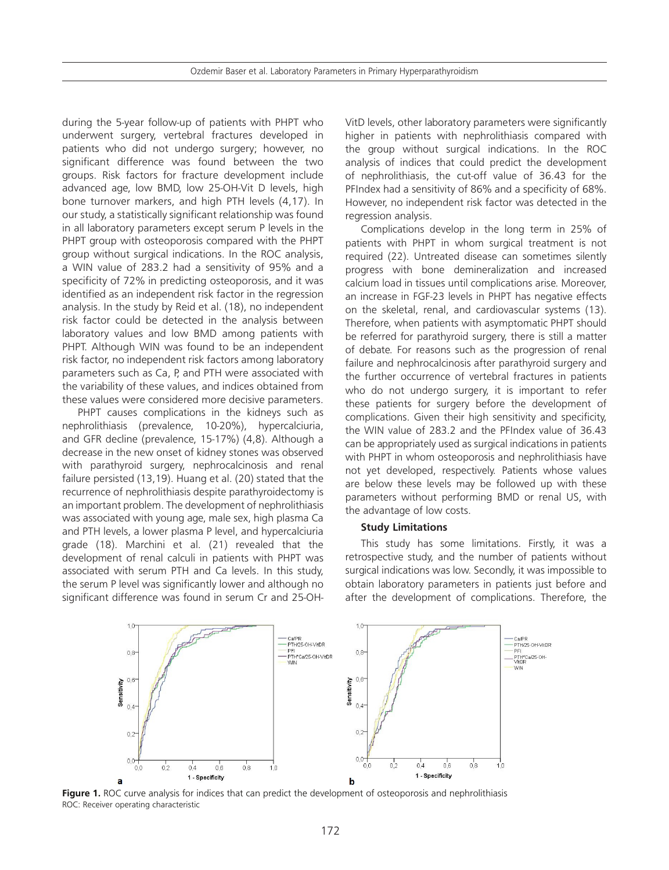during the 5-year follow-up of patients with PHPT who underwent surgery, vertebral fractures developed in patients who did not undergo surgery; however, no significant difference was found between the two groups. Risk factors for fracture development include advanced age, low BMD, low 25-OH-Vit D levels, high bone turnover markers, and high PTH levels (4,17). In our study, a statistically significant relationship was found in all laboratory parameters except serum P levels in the PHPT group with osteoporosis compared with the PHPT group without surgical indications. In the ROC analysis, a WIN value of 283.2 had a sensitivity of 95% and a specificity of 72% in predicting osteoporosis, and it was identified as an independent risk factor in the regression analysis. In the study by Reid et al. (18), no independent risk factor could be detected in the analysis between laboratory values and low BMD among patients with PHPT. Although WIN was found to be an independent risk factor, no independent risk factors among laboratory parameters such as Ca, P, and PTH were associated with the variability of these values, and indices obtained from these values were considered more decisive parameters.

PHPT causes complications in the kidneys such as nephrolithiasis (prevalence, 10-20%), hypercalciuria, and GFR decline (prevalence, 15-17%) (4,8). Although a decrease in the new onset of kidney stones was observed with parathyroid surgery, nephrocalcinosis and renal failure persisted (13,19). Huang et al. (20) stated that the recurrence of nephrolithiasis despite parathyroidectomy is an important problem. The development of nephrolithiasis was associated with young age, male sex, high plasma Ca and PTH levels, a lower plasma P level, and hypercalciuria grade (18). Marchini et al. (21) revealed that the development of renal calculi in patients with PHPT was associated with serum PTH and Ca levels. In this study, the serum P level was significantly lower and although no significant difference was found in serum Cr and 25-OH-

VitD levels, other laboratory parameters were significantly higher in patients with nephrolithiasis compared with the group without surgical indications. In the ROC analysis of indices that could predict the development of nephrolithiasis, the cut-off value of 36.43 for the PFIndex had a sensitivity of 86% and a specificity of 68%. However, no independent risk factor was detected in the regression analysis.

Complications develop in the long term in 25% of patients with PHPT in whom surgical treatment is not required (22). Untreated disease can sometimes silently progress with bone demineralization and increased calcium load in tissues until complications arise. Moreover, an increase in FGF-23 levels in PHPT has negative effects on the skeletal, renal, and cardiovascular systems (13). Therefore, when patients with asymptomatic PHPT should be referred for parathyroid surgery, there is still a matter of debate. For reasons such as the progression of renal failure and nephrocalcinosis after parathyroid surgery and the further occurrence of vertebral fractures in patients who do not undergo surgery, it is important to refer these patients for surgery before the development of complications. Given their high sensitivity and specificity, the WIN value of 283.2 and the PFIndex value of 36.43 can be appropriately used as surgical indications in patients with PHPT in whom osteoporosis and nephrolithiasis have not yet developed, respectively. Patients whose values are below these levels may be followed up with these parameters without performing BMD or renal US, with the advantage of low costs.

#### **Study Limitations**

This study has some limitations. Firstly, it was a retrospective study, and the number of patients without surgical indications was low. Secondly, it was impossible to obtain laboratory parameters in patients just before and after the development of complications. Therefore, the



**Figure 1.** ROC curve analysis for indices that can predict the development of osteoporosis and nephrolithiasis ROC: Receiver operating characteristic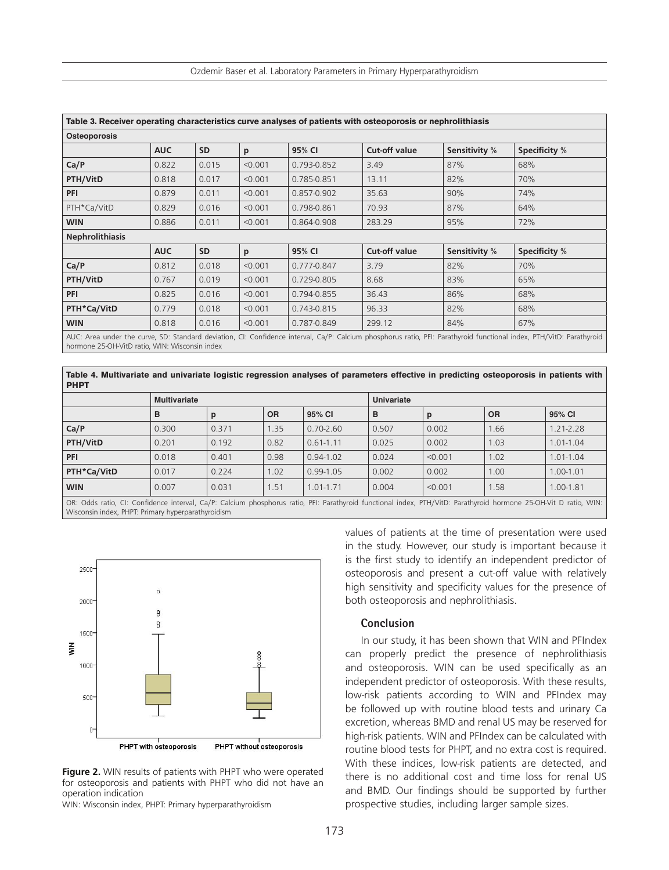| Ozdemir Baser et al. Laboratory Parameters in Primary Hyperparathyroidism |  |  |
|---------------------------------------------------------------------------|--|--|
|---------------------------------------------------------------------------|--|--|

| Table 3. Receiver operating characteristics curve analyses of patients with osteoporosis or nephrolithiasis<br>Osteoporosis |            |           |         |             |                      |               |                                                                                                                                                                      |  |
|-----------------------------------------------------------------------------------------------------------------------------|------------|-----------|---------|-------------|----------------------|---------------|----------------------------------------------------------------------------------------------------------------------------------------------------------------------|--|
|                                                                                                                             |            |           |         |             |                      |               |                                                                                                                                                                      |  |
| Ca/P                                                                                                                        | 0.822      | 0.015     | < 0.001 | 0.793-0.852 | 3.49                 | 87%           | 68%                                                                                                                                                                  |  |
| PTH/VitD                                                                                                                    | 0.818      | 0.017     | < 0.001 | 0.785-0.851 | 13.11                | 82%           | 70%                                                                                                                                                                  |  |
| <b>PFI</b>                                                                                                                  | 0.879      | 0.011     | < 0.001 | 0.857-0.902 | 35.63                | 90%           | 74%                                                                                                                                                                  |  |
| PTH*Ca/VitD                                                                                                                 | 0.829      | 0.016     | < 0.001 | 0.798-0.861 | 70.93                | 87%           | 64%                                                                                                                                                                  |  |
| <b>WIN</b>                                                                                                                  | 0.886      | 0.011     | < 0.001 | 0.864-0.908 | 283.29               | 95%           | 72%                                                                                                                                                                  |  |
| <b>Nephrolithiasis</b>                                                                                                      |            |           |         |             |                      |               |                                                                                                                                                                      |  |
|                                                                                                                             | <b>AUC</b> | <b>SD</b> | p       | 95% CI      | <b>Cut-off value</b> | Sensitivity % | <b>Specificity %</b>                                                                                                                                                 |  |
| Ca/P                                                                                                                        | 0.812      | 0.018     | < 0.001 | 0.777-0.847 | 3.79                 | 82%           | 70%                                                                                                                                                                  |  |
| PTH/VitD                                                                                                                    | 0.767      | 0.019     | < 0.001 | 0.729-0.805 | 8.68                 | 83%           | 65%                                                                                                                                                                  |  |
| <b>PFI</b>                                                                                                                  | 0.825      | 0.016     | < 0.001 | 0.794-0.855 | 36.43                | 86%           | 68%                                                                                                                                                                  |  |
| PTH*Ca/VitD                                                                                                                 | 0.779      | 0.018     | < 0.001 | 0.743-0.815 | 96.33                | 82%           | 68%                                                                                                                                                                  |  |
| <b>WIN</b>                                                                                                                  | 0.818      | 0.016     | < 0.001 | 0.787-0.849 | 299.12               | 84%           | 67%                                                                                                                                                                  |  |
|                                                                                                                             |            |           |         |             |                      |               | AUC: Area under the curve, SD: Standard deviation, CI: Confidence interval, Ca/P: Calcium phosphorus ratio, PFI: Parathyroid functional index, PTH/VitD: Parathyroid |  |

hormone 25-OH-VitD ratio, WIN: Wisconsin index

**Table 4. Multivariate and univariate logistic regression analyses of parameters effective in predicting osteoporosis in patients with PHPT**

|             | <b>Multivariate</b> |       |           |               | <b>Univariate</b> |         |           |               |
|-------------|---------------------|-------|-----------|---------------|-------------------|---------|-----------|---------------|
|             | в                   | p     | <b>OR</b> | 95% CI        | в                 | р       | <b>OR</b> | 95% CI        |
| Ca/P        | 0.300               | 0.371 | .35       | $0.70 - 2.60$ | 0.507             | 0.002   | 1.66      | $1.21 - 2.28$ |
| PTH/VitD    | 0.201               | 0.192 | 0.82      | $0.61 - 1.11$ | 0.025             | 0.002   | 1.03      | $1.01 - 1.04$ |
| PFI         | 0.018               | 0.401 | 0.98      | $0.94 - 1.02$ | 0.024             | < 0.001 | 1.02      | $1.01 - 1.04$ |
| PTH*Ca/VitD | 0.017               | 0.224 | 1.02      | $0.99 - 1.05$ | 0.002             | 0.002   | 1.00      | 1.00-1.01     |
| <b>WIN</b>  | 0.007               | 0.031 | .51       | $1.01 - 1.71$ | 0.004             | < 0.001 | 1.58      | $1.00 - 1.81$ |

OR: Odds ratio, CI: Confidence interval, Ca/P: Calcium phosphorus ratio, PFI: Parathyroid functional index, PTH/VitD: Parathyroid hormone 25-OH-Vit D ratio, WIN: Wisconsin index, PHPT: Primary hyperparathyroidism



**Figure 2.** WIN results of patients with PHPT who were operated for osteoporosis and patients with PHPT who did not have an operation indication

WIN: Wisconsin index, PHPT: Primary hyperparathyroidism

values of patients at the time of presentation were used in the study. However, our study is important because it is the first study to identify an independent predictor of osteoporosis and present a cut-off value with relatively high sensitivity and specificity values for the presence of both osteoporosis and nephrolithiasis.

# **Conclusion**

In our study, it has been shown that WIN and PFIndex can properly predict the presence of nephrolithiasis and osteoporosis. WIN can be used specifically as an independent predictor of osteoporosis. With these results, low-risk patients according to WIN and PFIndex may be followed up with routine blood tests and urinary Ca excretion, whereas BMD and renal US may be reserved for high-risk patients. WIN and PFIndex can be calculated with routine blood tests for PHPT, and no extra cost is required. With these indices, low-risk patients are detected, and there is no additional cost and time loss for renal US and BMD. Our findings should be supported by further prospective studies, including larger sample sizes.